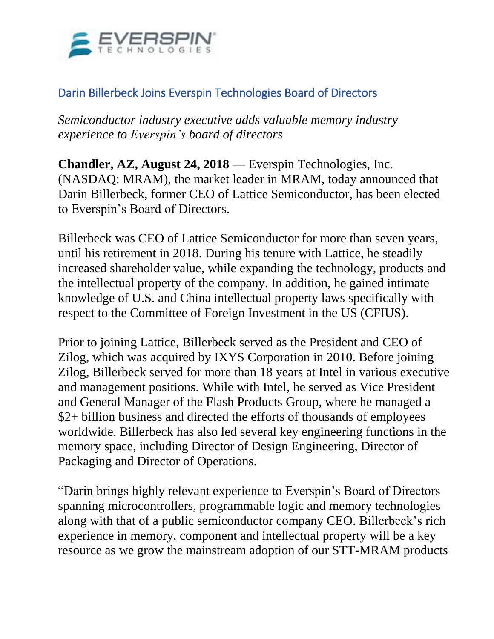

## Darin Billerbeck Joins Everspin Technologies Board of Directors

*Semiconductor industry executive adds valuable memory industry experience to Everspin's board of directors*

**Chandler, AZ, August 24, 2018** — Everspin Technologies, Inc. (NASDAQ: MRAM), the market leader in MRAM, today announced that Darin Billerbeck, former CEO of Lattice Semiconductor, has been elected to Everspin's Board of Directors.

Billerbeck was CEO of Lattice Semiconductor for more than seven years, until his retirement in 2018. During his tenure with Lattice, he steadily increased shareholder value, while expanding the technology, products and the intellectual property of the company. In addition, he gained intimate knowledge of U.S. and China intellectual property laws specifically with respect to the Committee of Foreign Investment in the US (CFIUS).

Prior to joining Lattice, Billerbeck served as the President and CEO of Zilog, which was acquired by IXYS Corporation in 2010. Before joining Zilog, Billerbeck served for more than 18 years at Intel in various executive and management positions. While with Intel, he served as Vice President and General Manager of the Flash Products Group, where he managed a \$2+ billion business and directed the efforts of thousands of employees worldwide. Billerbeck has also led several key engineering functions in the memory space, including Director of Design Engineering, Director of Packaging and Director of Operations.

"Darin brings highly relevant experience to Everspin's Board of Directors spanning microcontrollers, programmable logic and memory technologies along with that of a public semiconductor company CEO. Billerbeck's rich experience in memory, component and intellectual property will be a key resource as we grow the mainstream adoption of our STT-MRAM products